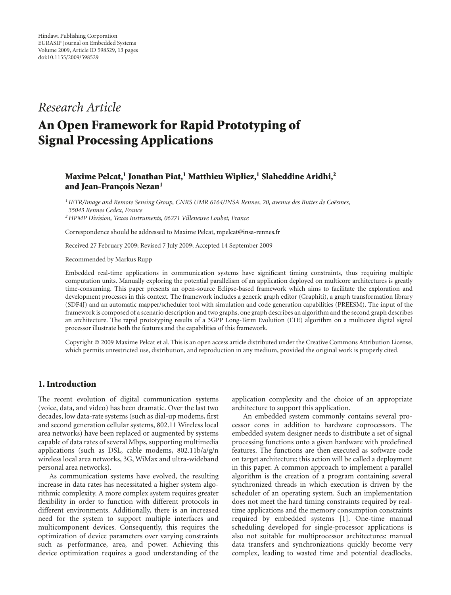# *Research Article*

# **An Open Framework for Rapid Prototyping of Signal Processing Applications**

# **Maxime Pelcat,1 Jonathan Piat,1 Matthieu Wipliez,1 Slaheddine Aridhi,2** and Jean-François Nezan<sup>1</sup>

<sup>1</sup> IETR/Image and Remote Sensing Group, CNRS UMR 6164/INSA Rennes, 20, avenue des Buttes de Coësmes, *35043 Rennes Cedex, France 2HPMP Division, Texas Instruments, 06271 Villeneuve Loubet, France*

Correspondence should be addressed to Maxime Pelcat, mpelcat@insa-rennes.fr

Received 27 February 2009; Revised 7 July 2009; Accepted 14 September 2009

Recommended by Markus Rupp

Embedded real-time applications in communication systems have significant timing constraints, thus requiring multiple computation units. Manually exploring the potential parallelism of an application deployed on multicore architectures is greatly time-consuming. This paper presents an open-source Eclipse-based framework which aims to facilitate the exploration and development processes in this context. The framework includes a generic graph editor (Graphiti), a graph transformation library (SDF4J) and an automatic mapper/scheduler tool with simulation and code generation capabilities (PREESM). The input of the framework is composed of a scenario description and two graphs, one graph describes an algorithm and the second graph describes an architecture. The rapid prototyping results of a 3GPP Long-Term Evolution (LTE) algorithm on a multicore digital signal processor illustrate both the features and the capabilities of this framework.

Copyright © 2009 Maxime Pelcat et al. This is an open access article distributed under the Creative Commons Attribution License, which permits unrestricted use, distribution, and reproduction in any medium, provided the original work is properly cited.

### **1. Introduction**

The recent evolution of digital communication systems (voice, data, and video) has been dramatic. Over the last two decades, low data-rate systems (such as dial-up modems, first and second generation cellular systems, 802.11 Wireless local area networks) have been replaced or augmented by systems capable of data rates of several Mbps, supporting multimedia applications (such as DSL, cable modems, 802.11b/a/g/n wireless local area networks, 3G, WiMax and ultra-wideband personal area networks).

As communication systems have evolved, the resulting increase in data rates has necessitated a higher system algorithmic complexity. A more complex system requires greater flexibility in order to function with different protocols in different environments. Additionally, there is an increased need for the system to support multiple interfaces and multicomponent devices. Consequently, this requires the optimization of device parameters over varying constraints such as performance, area, and power. Achieving this device optimization requires a good understanding of the

application complexity and the choice of an appropriate architecture to support this application.

An embedded system commonly contains several processor cores in addition to hardware coprocessors. The embedded system designer needs to distribute a set of signal processing functions onto a given hardware with predefined features. The functions are then executed as software code on target architecture; this action will be called a deployment in this paper. A common approach to implement a parallel algorithm is the creation of a program containing several synchronized threads in which execution is driven by the scheduler of an operating system. Such an implementation does not meet the hard timing constraints required by realtime applications and the memory consumption constraints required by embedded systems [1]. One-time manual scheduling developed for single-processor applications is also not suitable for multiprocessor architectures: manual data transfers and synchronizations quickly become very complex, leading to wasted time and potential deadlocks.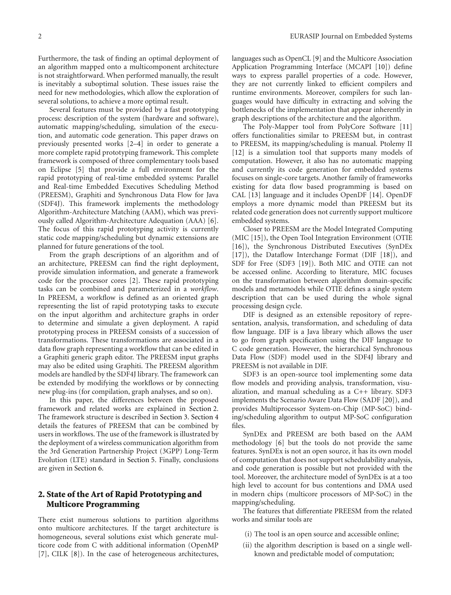Furthermore, the task of finding an optimal deployment of an algorithm mapped onto a multicomponent architecture is not straightforward. When performed manually, the result is inevitably a suboptimal solution. These issues raise the need for new methodologies, which allow the exploration of several solutions, to achieve a more optimal result.

Several features must be provided by a fast prototyping process: description of the system (hardware and software), automatic mapping/scheduling, simulation of the execution, and automatic code generation. This paper draws on previously presented works [2–4] in order to generate a more complete rapid prototyping framework. This complete framework is composed of three complementary tools based on Eclipse [5] that provide a full environment for the rapid prototyping of real-time embedded systems: Parallel and Real-time Embedded Executives Scheduling Method (PREESM), Graphiti and Synchronous Data Flow for Java (SDF4J). This framework implements the methodology Algorithm-Architecture Matching (AAM), which was previously called Algorithm-Architecture Adequation (AAA) [6]. The focus of this rapid prototyping activity is currently static code mapping/scheduling but dynamic extensions are planned for future generations of the tool.

From the graph descriptions of an algorithm and of an architecture, PREESM can find the right deployment, provide simulation information, and generate a framework code for the processor cores [2]. These rapid prototyping tasks can be combined and parameterized in a *workflow*. In PREESM, a workflow is defined as an oriented graph representing the list of rapid prototyping tasks to execute on the input algorithm and architecture graphs in order to determine and simulate a given deployment. A rapid prototyping process in PREESM consists of a succession of transformations. These transformations are associated in a data flow graph representing a workflow that can be edited in a Graphiti generic graph editor. The PREESM input graphs may also be edited using Graphiti. The PREESM algorithm models are handled by the SDF4J library. The framework can be extended by modifying the workflows or by connecting new plug-ins (for compilation, graph analyses, and so on).

In this paper, the differences between the proposed framework and related works are explained in Section 2. The framework structure is described in Section 3. Section 4 details the features of PREESM that can be combined by users in workflows. The use of the framework is illustrated by the deployment of a wireless communication algorithm from the 3rd Generation Partnership Project (3GPP) Long-Term Evolution (LTE) standard in Section 5. Finally, conclusions are given in Section 6.

# **2. State of the Art of Rapid Prototyping and Multicore Programming**

There exist numerous solutions to partition algorithms onto multicore architectures. If the target architecture is homogeneous, several solutions exist which generate multicore code from C with additional information (OpenMP [7], CILK [8]). In the case of heterogeneous architectures, languages such as OpenCL [9] and the Multicore Association Application Programming Interface (MCAPI [10]) define ways to express parallel properties of a code. However, they are not currently linked to efficient compilers and runtime environments. Moreover, compilers for such languages would have difficulty in extracting and solving the bottlenecks of the implementation that appear inherently in graph descriptions of the architecture and the algorithm.

The Poly-Mapper tool from PolyCore Software [11] offers functionalities similar to PREESM but, in contrast to PREESM, its mapping/scheduling is manual. Ptolemy II [12] is a simulation tool that supports many models of computation. However, it also has no automatic mapping and currently its code generation for embedded systems focuses on single-core targets. Another family of frameworks existing for data flow based programming is based on CAL [13] language and it includes OpenDF [14]. OpenDF employs a more dynamic model than PREESM but its related code generation does not currently support multicore embedded systems.

Closer to PREESM are the Model Integrated Computing (MIC [15]), the Open Tool Integration Environment (OTIE [16]), the Synchronous Distributed Executives (SynDEx [17]), the Dataflow Interchange Format (DIF [18]), and SDF for Free (SDF3 [19]). Both MIC and OTIE can not be accessed online. According to literature, MIC focuses on the transformation between algorithm domain-specific models and metamodels while OTIE defines a single system description that can be used during the whole signal processing design cycle.

DIF is designed as an extensible repository of representation, analysis, transformation, and scheduling of data flow language. DIF is a Java library which allows the user to go from graph specification using the DIF language to C code generation. However, the hierarchical Synchronous Data Flow (SDF) model used in the SDF4J library and PREESM is not available in DIF.

SDF3 is an open-source tool implementing some data flow models and providing analysis, transformation, visualization, and manual scheduling as a C++ library. SDF3 implements the Scenario Aware Data Flow (SADF [20]), and provides Multiprocessor System-on-Chip (MP-SoC) binding/scheduling algorithm to output MP-SoC configuration files.

SynDEx and PREESM are both based on the AAM methodology [6] but the tools do not provide the same features. SynDEx is not an open source, it has its own model of computation that does not support schedulability analysis, and code generation is possible but not provided with the tool. Moreover, the architecture model of SynDEx is at a too high level to account for bus contentions and DMA used in modern chips (multicore processors of MP-SoC) in the mapping/scheduling.

The features that differentiate PREESM from the related works and similar tools are

- (i) The tool is an open source and accessible online;
- (ii) the algorithm description is based on a single wellknown and predictable model of computation;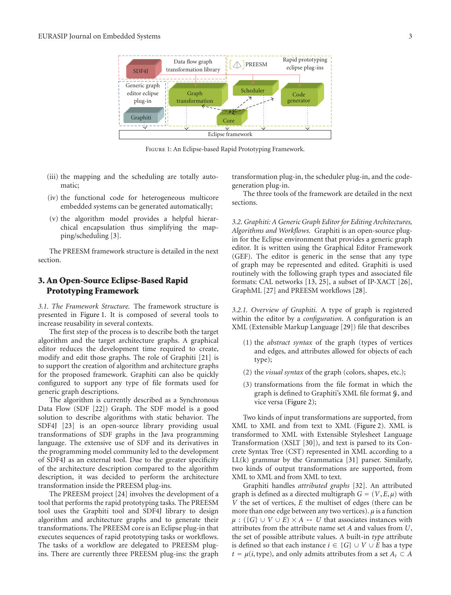

Figure 1: An Eclipse-based Rapid Prototyping Framework.

- (iii) the mapping and the scheduling are totally automatic;
- (iv) the functional code for heterogeneous multicore embedded systems can be generated automatically;
- (v) the algorithm model provides a helpful hierarchical encapsulation thus simplifying the mapping/scheduling [3].

The PREESM framework structure is detailed in the next section.

# **3. An Open-Source Eclipse-Based Rapid Prototyping Framework**

*3.1. The Framework Structure.* The framework structure is presented in Figure 1. It is composed of several tools to increase reusability in several contexts.

The first step of the process is to describe both the target algorithm and the target architecture graphs. A graphical editor reduces the development time required to create, modify and edit those graphs. The role of Graphiti [21] is to support the creation of algorithm and architecture graphs for the proposed framework. Graphiti can also be quickly configured to support any type of file formats used for generic graph descriptions.

The algorithm is currently described as a Synchronous Data Flow (SDF [22]) Graph. The SDF model is a good solution to describe algorithms with static behavior. The SDF4J [23] is an open-source library providing usual transformations of SDF graphs in the Java programming language. The extensive use of SDF and its derivatives in the programming model community led to the development of SDF4J as an external tool. Due to the greater specificity of the architecture description compared to the algorithm description, it was decided to perform the architecture transformation inside the PREESM plug-ins.

The PREESM project [24] involves the development of a tool that performs the rapid prototyping tasks. The PREESM tool uses the Graphiti tool and SDF4J library to design algorithm and architecture graphs and to generate their transformations. The PREESM core is an Eclipse plug-in that executes sequences of rapid prototyping tasks or workflows. The tasks of a workflow are delegated to PREESM plugins. There are currently three PREESM plug-ins: the graph

transformation plug-in, the scheduler plug-in, and the codegeneration plug-in.

The three tools of the framework are detailed in the next sections.

*3.2. Graphiti: A Generic Graph Editor for Editing Architectures, Algorithms and Workflows.* Graphiti is an open-source plugin for the Eclipse environment that provides a generic graph editor. It is written using the Graphical Editor Framework (GEF). The editor is generic in the sense that any type of graph may be represented and edited. Graphiti is used routinely with the following graph types and associated file formats: CAL networks [13, 25], a subset of IP-XACT [26], GraphML [27] and PREESM workflows [28].

*3.2.1. Overview of Graphiti.* A type of graph is registered within the editor by a *configuration*. A configuration is an XML (Extensible Markup Language [29]) file that describes

- (1) the *abstract syntax* of the graph (types of vertices and edges, and attributes allowed for objects of each type);
- (2) the *visual syntax* of the graph (colors, shapes, etc.);
- (3) transformations from the file format in which the graph is defined to Graphiti's XML file format  $\mathcal{G}$ , and vice versa (Figure 2);

Two kinds of input transformations are supported, from XML to XML and from text to XML (Figure 2). XML is transformed to XML with Extensible Stylesheet Language Transformation (XSLT [30]), and text is parsed to its Concrete Syntax Tree (CST) represented in XML according to a  $LL(k)$  grammar by the Grammatica [31] parser. Similarly, two kinds of output transformations are supported, from XML to XML and from XML to text.

Graphiti handles *attributed graphs* [32]. An attributed graph is defined as a directed multigraph  $G = (V, E, \mu)$  with *V* the set of vertices, *E* the multiset of edges (there can be more than one edge between any two vertices). *μ* is a function  $\mu$  : ({*G*} ∪ *V* ∪ *E*) × *A* → *U* that associates instances with attributes from the attribute name set *A* and values from *U*, the set of possible attribute values. A built-in *type* attribute is defined so that each instance  $i \in \{G\}$  ∪ *V* ∪ *E* has a type  $t = \mu(i, \text{type})$ , and only admits attributes from a set  $A_t \subset A$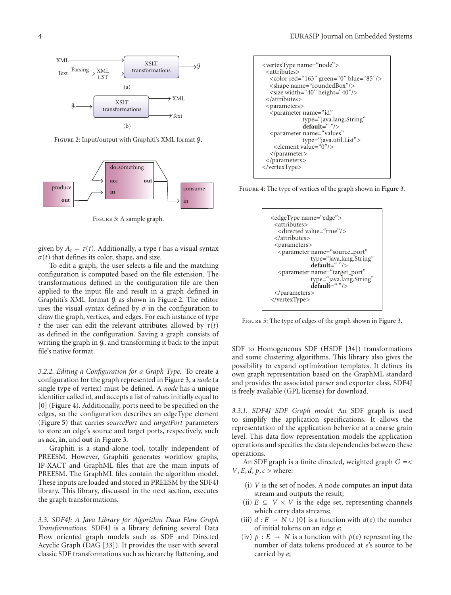

FIGURE 2: Input/output with Graphiti's XML format  $\mathcal{G}$ .



Figure 3: A sample graph.

given by  $A_t = \tau(t)$ . Additionally, a type *t* has a visual syntax  $\sigma(t)$  that defines its color, shape, and size.

To edit a graph, the user selects a file and the matching configuration is computed based on the file extension. The transformations defined in the configuration file are then applied to the input file and result in a graph defined in Graphiti's XML format  $\beta$  as shown in Figure 2. The editor uses the visual syntax defined by  $\sigma$  in the configuration to draw the graph, vertices, and edges. For each instance of type *t* the user can edit the relevant attributes allowed by  $\tau(t)$ as defined in the configuration. Saving a graph consists of writing the graph in  $\mathcal{G}$ , and transforming it back to the input file's native format.

*3.2.2. Editing a Configuration for a Graph Type.* To create a configuration for the graph represented in Figure 3, a *node* (a single type of vertex) must be defined. A *node* has a unique identifier called *id*, and accepts a list of *values* initially equal to [0] (Figure 4). Additionally, ports need to be specified on the edges, so the configuration describes an edgeType element (Figure 5) that carries *sourcePort* and *targetPort* parameters to store an edge's source and target ports, respectively, such as **acc**, **in**, and **out** in Figure 3.

Graphiti is a stand-alone tool, totally independent of PREESM. However, Graphiti generates workflow graphs, IP-XACT and GraphML files that are the main inputs of PREESM. The GraphML files contain the algorithm model. These inputs are loaded and stored in PREESM by the SDF4J library. This library, discussed in the next section, executes the graph transformations.

*3.3. SDF4J: A Java Library for Algorithm Data Flow Graph Transformations.* SDF4J is a library defining several Data Flow oriented graph models such as SDF and Directed Acyclic Graph (DAG [33]). It provides the user with several classic SDF transformations such as hierarchy flattening, and



Figure 4: The type of vertices of the graph shown in Figure 3.



Figure 5: The type of edges of the graph shown in Figure 3.

SDF to Homogeneous SDF (HSDF [34]) transformations and some clustering algorithms. This library also gives the possibility to expand optimization templates. It defines its own graph representation based on the GraphML standard and provides the associated parser and exporter class. SDF4J is freely available (GPL license) for download.

*3.3.1. SDF4J SDF Graph model.* An SDF graph is used to simplify the application specifications. It allows the representation of the application behavior at a coarse grain level. This data flow representation models the application operations and specifies the data dependencies between these operations.

An SDF graph is a finite directed, weighted graph *G* =*< V*, *E*, *d*, *p*,*c >* where:

- (i) *V* is the set of nodes. A node computes an input data stream and outputs the result;
- (ii)  $E \subseteq V \times V$  is the edge set, representing channels which carry data streams;
- (iii)  $d: E \to N \cup \{0\}$  is a function with  $d(e)$  the number of initial tokens on an edge *e*;
- (iv)  $p : E \to N$  is a function with  $p(e)$  representing the number of data tokens produced at *e*'s source to be carried by *e*;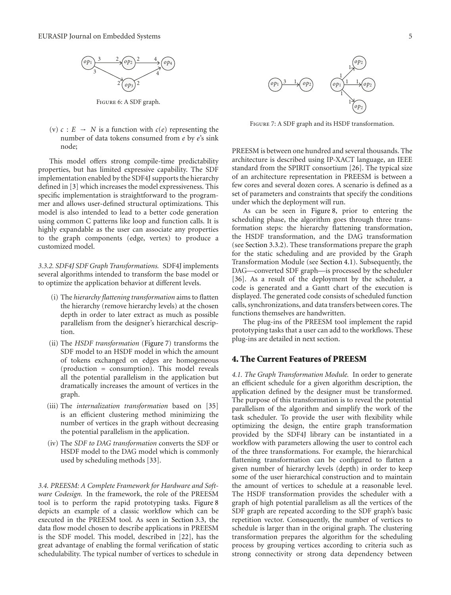

Figure 6: A SDF graph.

(v)  $c: E \rightarrow N$  is a function with  $c(e)$  representing the number of data tokens consumed from *e* by *e*'s sink node;

This model offers strong compile-time predictability properties, but has limited expressive capability. The SDF implementation enabled by the SDF4J supports the hierarchy defined in [3] which increases the model expressiveness. This specific implementation is straightforward to the programmer and allows user-defined structural optimizations. This model is also intended to lead to a better code generation using common C patterns like loop and function calls. It is highly expandable as the user can associate any properties to the graph components (edge, vertex) to produce a customized model.

*3.3.2. SDF4J SDF Graph Transformations.* SDF4J implements several algorithms intended to transform the base model or to optimize the application behavior at different levels.

- (i) The *hierarchy flattening transformation* aims to flatten the hierarchy (remove hierarchy levels) at the chosen depth in order to later extract as much as possible parallelism from the designer's hierarchical description.
- (ii) The *HSDF transformation* (Figure 7) transforms the SDF model to an HSDF model in which the amount of tokens exchanged on edges are homogeneous (production = consumption). This model reveals all the potential parallelism in the application but dramatically increases the amount of vertices in the graph.
- (iii) The *internalization transformation* based on [35] is an efficient clustering method minimizing the number of vertices in the graph without decreasing the potential parallelism in the application.
- (iv) The *SDF to DAG transformation* converts the SDF or HSDF model to the DAG model which is commonly used by scheduling methods [33].

*3.4. PREESM: A Complete Framework for Hardware and Software Codesign.* In the framework, the role of the PREESM tool is to perform the rapid prototyping tasks. Figure 8 depicts an example of a classic workflow which can be executed in the PREESM tool. As seen in Section 3.3, the data flow model chosen to describe applications in PREESM is the SDF model. This model, described in [22], has the great advantage of enabling the formal verification of static schedulability. The typical number of vertices to schedule in



Figure 7: A SDF graph and its HSDF transformation.

PREESM is between one hundred and several thousands. The architecture is described using IP-XACT language, an IEEE standard from the SPIRIT consortium [26]. The typical size of an architecture representation in PREESM is between a few cores and several dozen cores. A scenario is defined as a set of parameters and constraints that specify the conditions under which the deployment will run.

As can be seen in Figure 8, prior to entering the scheduling phase, the algorithm goes through three transformation steps: the hierarchy flattening transformation, the HSDF transformation, and the DAG transformation (see Section 3.3.2). These transformations prepare the graph for the static scheduling and are provided by the Graph Transformation Module (see Section 4.1). Subsequently, the DAG—converted SDF graph—is processed by the scheduler [36]. As a result of the deployment by the scheduler, a code is generated and a Gantt chart of the execution is displayed. The generated code consists of scheduled function calls, synchronizations, and data transfers between cores. The functions themselves are handwritten.

The plug-ins of the PREESM tool implement the rapid prototyping tasks that a user can add to the workflows. These plug-ins are detailed in next section.

#### **4. The Current Features of PREESM**

*4.1. The Graph Transformation Module.* In order to generate an efficient schedule for a given algorithm description, the application defined by the designer must be transformed. The purpose of this transformation is to reveal the potential parallelism of the algorithm and simplify the work of the task scheduler. To provide the user with flexibility while optimizing the design, the entire graph transformation provided by the SDF4J library can be instantiated in a workflow with parameters allowing the user to control each of the three transformations. For example, the hierarchical flattening transformation can be configured to flatten a given number of hierarchy levels (depth) in order to keep some of the user hierarchical construction and to maintain the amount of vertices to schedule at a reasonable level. The HSDF transformation provides the scheduler with a graph of high potential parallelism as all the vertices of the SDF graph are repeated according to the SDF graph's basic repetition vector. Consequently, the number of vertices to schedule is larger than in the original graph. The clustering transformation prepares the algorithm for the scheduling process by grouping vertices according to criteria such as strong connectivity or strong data dependency between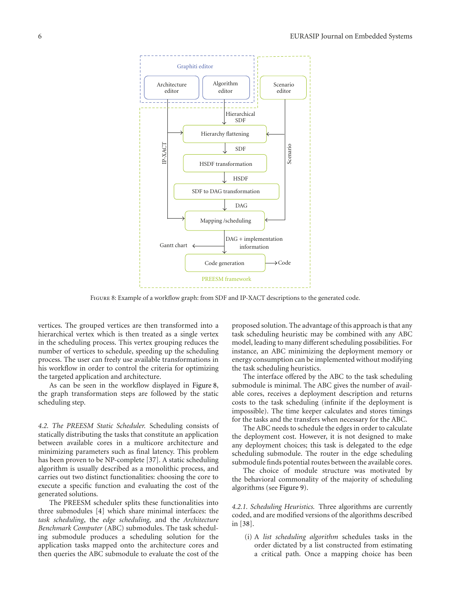

Figure 8: Example of a workflow graph: from SDF and IP-XACT descriptions to the generated code.

vertices. The grouped vertices are then transformed into a hierarchical vertex which is then treated as a single vertex in the scheduling process. This vertex grouping reduces the number of vertices to schedule, speeding up the scheduling process. The user can freely use available transformations in his workflow in order to control the criteria for optimizing the targeted application and architecture.

As can be seen in the workflow displayed in Figure 8, the graph transformation steps are followed by the static scheduling step.

*4.2. The PREESM Static Scheduler.* Scheduling consists of statically distributing the tasks that constitute an application between available cores in a multicore architecture and minimizing parameters such as final latency. This problem has been proven to be NP-complete [37]. A static scheduling algorithm is usually described as a monolithic process, and carries out two distinct functionalities: choosing the core to execute a specific function and evaluating the cost of the generated solutions.

The PREESM scheduler splits these functionalities into three submodules [4] which share minimal interfaces: the *task scheduling*, the *edge scheduling,* and the *Architecture Benchmark Computer* (ABC) submodules. The task scheduling submodule produces a scheduling solution for the application tasks mapped onto the architecture cores and then queries the ABC submodule to evaluate the cost of the proposed solution. The advantage of this approach is that any task scheduling heuristic may be combined with any ABC model, leading to many different scheduling possibilities. For instance, an ABC minimizing the deployment memory or energy consumption can be implemented without modifying the task scheduling heuristics.

The interface offered by the ABC to the task scheduling submodule is minimal. The ABC gives the number of available cores, receives a deployment description and returns costs to the task scheduling (infinite if the deployment is impossible). The time keeper calculates and stores timings for the tasks and the transfers when necessary for the ABC.

The ABC needs to schedule the edges in order to calculate the deployment cost. However, it is not designed to make any deployment choices; this task is delegated to the edge scheduling submodule. The router in the edge scheduling submodule finds potential routes between the available cores.

The choice of module structure was motivated by the behavioral commonality of the majority of scheduling algorithms (see Figure 9).

*4.2.1. Scheduling Heuristics.* Three algorithms are currently coded, and are modified versions of the algorithms described in [38].

(i) A *list scheduling algorithm* schedules tasks in the order dictated by a list constructed from estimating a critical path. Once a mapping choice has been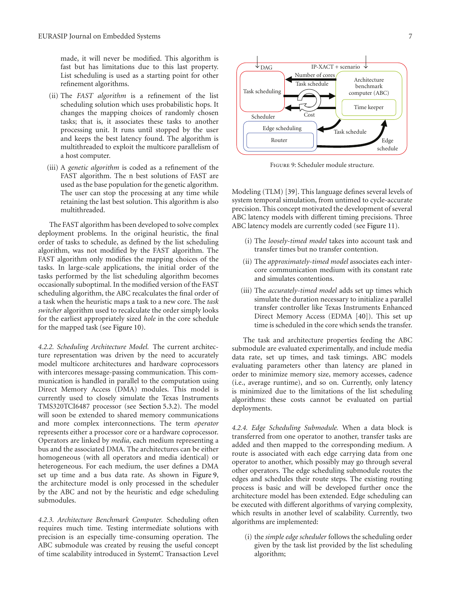made, it will never be modified. This algorithm is fast but has limitations due to this last property. List scheduling is used as a starting point for other refinement algorithms.

- (ii) The *FAST algorithm* is a refinement of the list scheduling solution which uses probabilistic hops. It changes the mapping choices of randomly chosen tasks; that is, it associates these tasks to another processing unit. It runs until stopped by the user and keeps the best latency found. The algorithm is multithreaded to exploit the multicore parallelism of a host computer.
- (iii) A *genetic algorithm* is coded as a refinement of the FAST algorithm. The n best solutions of FAST are used as the base population for the genetic algorithm. The user can stop the processing at any time while retaining the last best solution. This algorithm is also multithreaded.

The FAST algorithm has been developed to solve complex deployment problems. In the original heuristic, the final order of tasks to schedule, as defined by the list scheduling algorithm, was not modified by the FAST algorithm. The FAST algorithm only modifies the mapping choices of the tasks. In large-scale applications, the initial order of the tasks performed by the list scheduling algorithm becomes occasionally suboptimal. In the modified version of the FAST scheduling algorithm, the ABC recalculates the final order of a task when the heuristic maps a task to a new core. The *task switcher* algorithm used to recalculate the order simply looks for the earliest appropriately sized *hole* in the core schedule for the mapped task (see Figure 10).

*4.2.2. Scheduling Architecture Model.* The current architecture representation was driven by the need to accurately model multicore architectures and hardware coprocessors with intercores message-passing communication. This communication is handled in parallel to the computation using Direct Memory Access (DMA) modules. This model is currently used to closely simulate the Texas Instruments TMS320TCI6487 processor (see Section 5.3.2). The model will soon be extended to shared memory communications and more complex interconnections. The term *operator* represents either a processor core or a hardware coprocessor. Operators are linked by *media*, each medium representing a bus and the associated DMA. The architectures can be either homogeneous (with all operators and media identical) or heterogeneous. For each medium, the user defines a DMA set up time and a bus data rate. As shown in Figure 9, the architecture model is only processed in the scheduler by the ABC and not by the heuristic and edge scheduling submodules.

*4.2.3. Architecture Benchmark Computer.* Scheduling often requires much time. Testing intermediate solutions with precision is an especially time-consuming operation. The ABC submodule was created by reusing the useful concept of time scalability introduced in SystemC Transaction Level



Figure 9: Scheduler module structure.

Modeling (TLM) [39]. This language defines several levels of system temporal simulation, from untimed to cycle-accurate precision. This concept motivated the development of several ABC latency models with different timing precisions. Three ABC latency models are currently coded (see Figure 11).

- (i) The *loosely-timed model* takes into account task and transfer times but no transfer contention.
- (ii) The *approximately-timed model* associates each intercore communication medium with its constant rate and simulates contentions.
- (iii) The *accurately-timed model* adds set up times which simulate the duration necessary to initialize a parallel transfer controller like Texas Instruments Enhanced Direct Memory Access (EDMA [40]). This set up time is scheduled in the core which sends the transfer.

The task and architecture properties feeding the ABC submodule are evaluated experimentally, and include media data rate, set up times, and task timings. ABC models evaluating parameters other than latency are planed in order to minimize memory size, memory accesses, cadence (i.e., average runtime), and so on. Currently, only latency is minimized due to the limitations of the list scheduling algorithms: these costs cannot be evaluated on partial deployments.

*4.2.4. Edge Scheduling Submodule.* When a data block is transferred from one operator to another, transfer tasks are added and then mapped to the corresponding medium. A route is associated with each edge carrying data from one operator to another, which possibly may go through several other operators. The edge scheduling submodule routes the edges and schedules their route steps. The existing routing process is basic and will be developed further once the architecture model has been extended. Edge scheduling can be executed with different algorithms of varying complexity, which results in another level of scalability. Currently, two algorithms are implemented:

(i) the *simple edge scheduler* follows the scheduling order given by the task list provided by the list scheduling algorithm;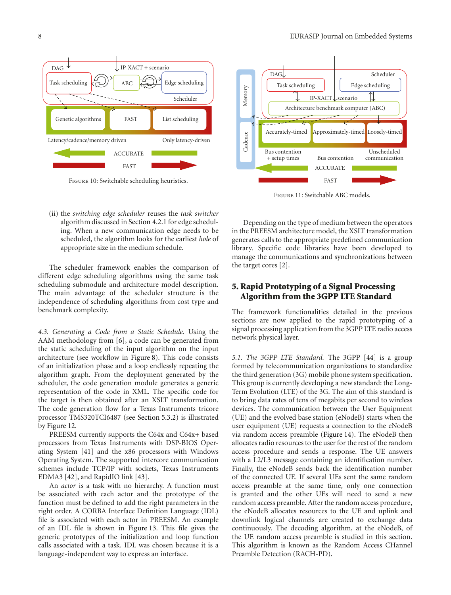

Figure 10: Switchable scheduling heuristics.



Figure 11: Switchable ABC models.

(ii) the *switching edge scheduler* reuses the *task switcher* algorithm discussed in Section 4.2.1 for edge scheduling. When a new communication edge needs to be scheduled, the algorithm looks for the earliest *hole* of appropriate size in the medium schedule.

The scheduler framework enables the comparison of different edge scheduling algorithms using the same task scheduling submodule and architecture model description. The main advantage of the scheduler structure is the independence of scheduling algorithms from cost type and benchmark complexity.

*4.3. Generating a Code from a Static Schedule.* Using the AAM methodology from [6], a code can be generated from the static scheduling of the input algorithm on the input architecture (see workflow in Figure 8). This code consists of an initialization phase and a loop endlessly repeating the algorithm graph. From the deployment generated by the scheduler, the code generation module generates a generic representation of the code in XML. The specific code for the target is then obtained after an XSLT transformation. The code generation flow for a Texas Instruments tricore processor TMS320TCI6487 (see Section 5.3.2) is illustrated by Figure 12.

PREESM currently supports the C64x and C64x+ based processors from Texas Instruments with DSP-BIOS Operating System [41] and the x86 processors with Windows Operating System. The supported intercore communication schemes include TCP/IP with sockets, Texas Instruments EDMA3 [42], and RapidIO link [43].

An *actor* is a task with no hierarchy. A function must be associated with each actor and the prototype of the function must be defined to add the right parameters in the right order. A CORBA Interface Definition Language (IDL) file is associated with each actor in PREESM. An example of an IDL file is shown in Figure 13. This file gives the generic prototypes of the initialization and loop function calls associated with a task. IDL was chosen because it is a language-independent way to express an interface.

Depending on the type of medium between the operators in the PREESM architecture model, the XSLT transformation generates calls to the appropriate predefined communication library. Specific code libraries have been developed to manage the communications and synchronizations between the target cores [2].

# **5. Rapid Prototyping of a Signal Processing Algorithm from the 3GPP LTE Standard**

The framework functionalities detailed in the previous sections are now applied to the rapid prototyping of a signal processing application from the 3GPP LTE radio access network physical layer.

*5.1. The 3GPP LTE Standard.* The 3GPP [44] is a group formed by telecommunication organizations to standardize the third generation (3G) mobile phone system specification. This group is currently developing a new standard: the Long-Term Evolution (LTE) of the 3G. The aim of this standard is to bring data rates of tens of megabits per second to wireless devices. The communication between the User Equipment (UE) and the evolved base station (eNodeB) starts when the user equipment (UE) requests a connection to the eNodeB via random access preamble (Figure 14). The eNodeB then allocates radio resources to the user for the rest of the random access procedure and sends a response. The UE answers with a L2/L3 message containing an identification number. Finally, the eNodeB sends back the identification number of the connected UE. If several UEs sent the same random access preamble at the same time, only one connection is granted and the other UEs will need to send a new random access preamble. After the random access procedure, the eNodeB allocates resources to the UE and uplink and downlink logical channels are created to exchange data continuously. The decoding algorithm, at the eNodeB, of the UE random access preamble is studied in this section. This algorithm is known as the Random Access CHannel Preamble Detection (RACH-PD).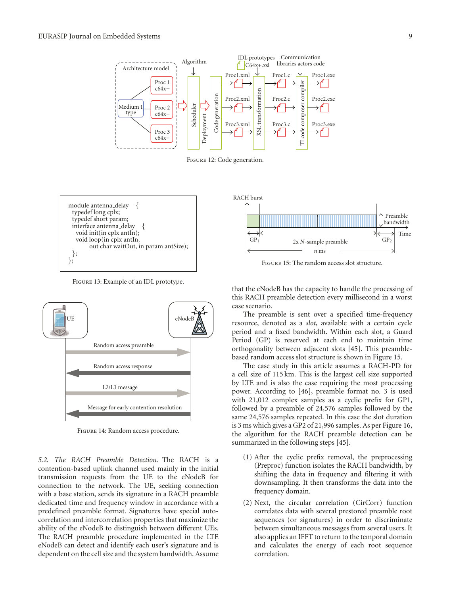

Figure 13: Example of an IDL prototype.



Figure 14: Random access procedure.

*5.2. The RACH Preamble Detection.* The RACH is a contention-based uplink channel used mainly in the initial transmission requests from the UE to the eNodeB for connection to the network. The UE, seeking connection with a base station, sends its signature in a RACH preamble dedicated time and frequency window in accordance with a predefined preamble format. Signatures have special autocorrelation and intercorrelation properties that maximize the ability of the eNodeB to distinguish between different UEs. The RACH preamble procedure implemented in the LTE eNodeB can detect and identify each user's signature and is dependent on the cell size and the system bandwidth. Assume



The preamble is sent over a specified time-frequency resource, denoted as a *slot*, available with a certain cycle period and a fixed bandwidth. Within each slot, a Guard Period (GP) is reserved at each end to maintain time orthogonality between adjacent slots [45]. This preamblebased random access slot structure is shown in Figure 15.

The case study in this article assumes a RACH-PD for a cell size of 115 km. This is the largest cell size supported by LTE and is also the case requiring the most processing power. According to [46], preamble format no. 3 is used with 21,012 complex samples as a cyclic prefix for GP1, followed by a preamble of 24,576 samples followed by the same 24,576 samples repeated. In this case the slot duration is 3 ms which gives a GP2 of 21,996 samples. As per Figure 16, the algorithm for the RACH preamble detection can be summarized in the following steps [45].

- (1) After the cyclic prefix removal, the preprocessing (Preproc) function isolates the RACH bandwidth, by shifting the data in frequency and filtering it with downsampling. It then transforms the data into the frequency domain.
- (2) Next, the circular correlation (CirCorr) function correlates data with several prestored preamble root sequences (or signatures) in order to discriminate between simultaneous messages from several users. It also applies an IFFT to return to the temporal domain and calculates the energy of each root sequence correlation.

Time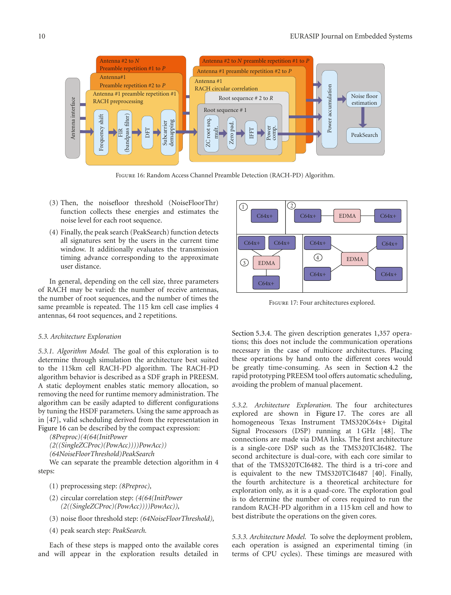

Figure 16: Random Access Channel Preamble Detection (RACH-PD) Algorithm.

- (3) Then, the noisefloor threshold (NoiseFloorThr) function collects these energies and estimates the noise level for each root sequence.
- (4) Finally, the peak search (PeakSearch) function detects all signatures sent by the users in the current time window. It additionally evaluates the transmission timing advance corresponding to the approximate user distance.

In general, depending on the cell size, three parameters of RACH may be varied: the number of receive antennas, the number of root sequences, and the number of times the same preamble is repeated. The 115 km cell case implies 4 antennas, 64 root sequences, and 2 repetitions.

#### *5.3. Architecture Exploration*

*5.3.1. Algorithm Model.* The goal of this exploration is to determine through simulation the architecture best suited to the 115km cell RACH-PD algorithm. The RACH-PD algorithm behavior is described as a SDF graph in PREESM. A static deployment enables static memory allocation, so removing the need for runtime memory administration. The algorithm can be easily adapted to different configurations by tuning the HSDF parameters. Using the same approach as in [47], valid scheduling derived from the representation in Figure 16 can be described by the compact expression:

*(8Preproc)(4(64(InitPower*

*(2((SingleZCProc)(PowAcc))))PowAcc))*

*(64NoiseFloorThreshold)PeakSearch*

We can separate the preamble detection algorithm in 4 steps:

- (1) preprocessing step: *(8Preproc),*
- (2) circular correlation step: *(4(64(InitPower (2((SingleZCProc)(PowAcc))))PowAcc)),*
- (3) noise floor threshold step: *(64NoiseFloorThreshold),*
- (4) peak search step: *PeakSearch.*

Each of these steps is mapped onto the available cores and will appear in the exploration results detailed in



Figure 17: Four architectures explored.

Section 5.3.4. The given description generates 1,357 operations; this does not include the communication operations necessary in the case of multicore architectures. Placing these operations by hand onto the different cores would be greatly time-consuming. As seen in Section 4.2 the rapid prototyping PREESM tool offers automatic scheduling, avoiding the problem of manual placement.

*5.3.2. Architecture Exploration.* The four architectures explored are shown in Figure 17. The cores are all homogeneous Texas Instrument TMS320C64x+ Digital Signal Processors (DSP) running at 1 GHz [48]. The connections are made via DMA links. The first architecture is a single-core DSP such as the TMS320TCI6482. The second architecture is dual-core, with each core similar to that of the TMS320TCI6482. The third is a tri-core and is equivalent to the new TMS320TCI6487 [40]. Finally, the fourth architecture is a theoretical architecture for exploration only, as it is a quad-core. The exploration goal is to determine the number of cores required to run the random RACH-PD algorithm in a 115 km cell and how to best distribute the operations on the given cores.

*5.3.3. Architecture Model.* To solve the deployment problem, each operation is assigned an experimental timing (in terms of CPU cycles). These timings are measured with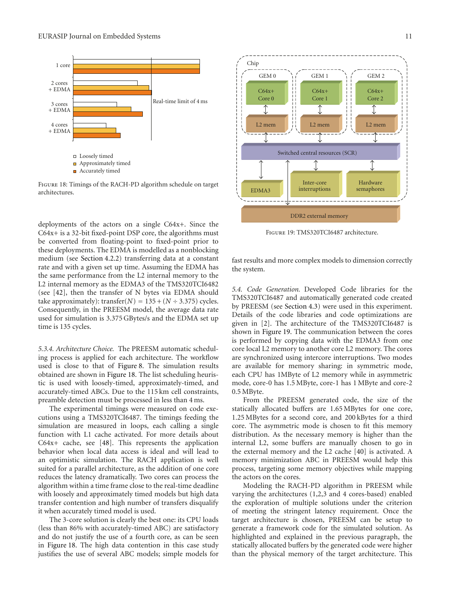

Figure 18: Timings of the RACH-PD algorithm schedule on target architectures.

deployments of the actors on a single C64x+. Since the C64x+ is a 32-bit fixed-point DSP core, the algorithms must be converted from floating-point to fixed-point prior to these deployments. The EDMA is modelled as a nonblocking medium (see Section 4.2.2) transferring data at a constant rate and with a given set up time. Assuming the EDMA has the same performance from the L2 internal memory to the L2 internal memory as the EDMA3 of the TMS320TCI6482 (see [42], then the transfer of N bytes via EDMA should take approximately): transfer $(N) = 135 + (N \div 3.375)$  cycles. Consequently, in the PREESM model, the average data rate used for simulation is 3.375 GBytes/s and the EDMA set up time is 135 cycles.

*5.3.4. Architecture Choice.* The PREESM automatic scheduling process is applied for each architecture. The workflow used is close to that of Figure 8. The simulation results obtained are shown in Figure 18. The list scheduling heuristic is used with loosely-timed, approximately-timed, and accurately-timed ABCs. Due to the 115 km cell constraints, preamble detection must be processed in less than 4 ms.

The experimental timings were measured on code executions using a TMS320TCI6487. The timings feeding the simulation are measured in loops, each calling a single function with L1 cache activated. For more details about C64x+ cache, see [48]. This represents the application behavior when local data access is ideal and will lead to an optimistic simulation. The RACH application is well suited for a parallel architecture, as the addition of one core reduces the latency dramatically. Two cores can process the algorithm within a time frame close to the real-time deadline with loosely and approximately timed models but high data transfer contention and high number of transfers disqualify it when accurately timed model is used.

The 3-core solution is clearly the best one: its CPU loads (less than 86% with accurately-timed ABC) are satisfactory and do not justify the use of a fourth core, as can be seen in Figure 18. The high data contention in this case study justifies the use of several ABC models; simple models for



Figure 19: TMS320TCI6487 architecture.

fast results and more complex models to dimension correctly the system.

*5.4. Code Generation.* Developed Code libraries for the TMS320TCI6487 and automatically generated code created by PREESM (see Section 4.3) were used in this experiment. Details of the code libraries and code optimizations are given in [2]. The architecture of the TMS320TCI6487 is shown in Figure 19. The communication between the cores is performed by copying data with the EDMA3 from one core local L2 memory to another core L2 memory. The cores are synchronized using intercore interruptions. Two modes are available for memory sharing: in symmetric mode, each CPU has 1MByte of L2 memory while in asymmetric mode, core-0 has 1.5 MByte, core-1 has 1 MByte and core-2 0.5 MByte.

From the PREESM generated code, the size of the statically allocated buffers are 1.65 MBytes for one core, 1.25 MBytes for a second core, and 200 kBytes for a third core. The asymmetric mode is chosen to fit this memory distribution. As the necessary memory is higher than the internal L2, some buffers are manually chosen to go in the external memory and the L2 cache [40] is activated. A memory minimization ABC in PREESM would help this process, targeting some memory objectives while mapping the actors on the cores.

Modeling the RACH-PD algorithm in PREESM while varying the architectures (1,2,3 and 4 cores-based) enabled the exploration of multiple solutions under the criterion of meeting the stringent latency requirement. Once the target architecture is chosen, PREESM can be setup to generate a framework code for the simulated solution. As highlighted and explained in the previous paragraph, the statically allocated buffers by the generated code were higher than the physical memory of the target architecture. This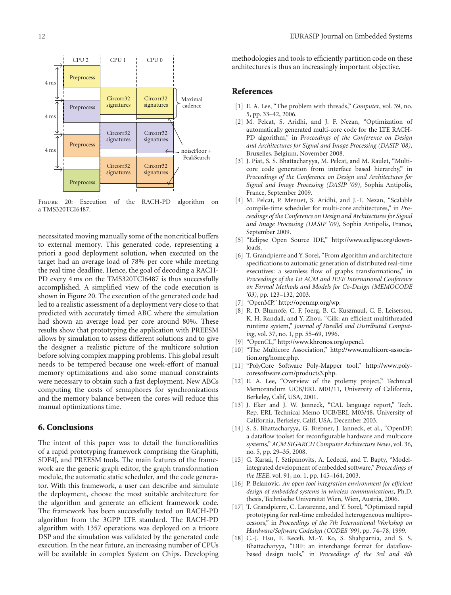

Figure 20: Execution of the RACH-PD algorithm on a TMS320TCI6487.

necessitated moving manually some of the noncritical buffers to external memory. This generated code, representing a priori a good deployment solution, when executed on the target had an average load of 78% per core while meeting the real time deadline. Hence, the goal of decoding a RACH-PD every 4 ms on the TMS320TCI6487 is thus successfully accomplished. A simplified view of the code execution is shown in Figure 20. The execution of the generated code had led to a realistic assessment of a deployment very close to that predicted with accurately timed ABC where the simulation had shown an average load per core around 80%. These results show that prototyping the application with PREESM allows by simulation to assess different solutions and to give the designer a realistic picture of the multicore solution before solving complex mapping problems. This global result needs to be tempered because one week-effort of manual memory optimizations and also some manual constraints were necessary to obtain such a fast deployment. New ABCs computing the costs of semaphores for synchronizations and the memory balance between the cores will reduce this manual optimizations time.

#### **6. Conclusions**

The intent of this paper was to detail the functionalities of a rapid prototyping framework comprising the Graphiti, SDF4J, and PREESM tools. The main features of the framework are the generic graph editor, the graph transformation module, the automatic static scheduler, and the code generator. With this framework, a user can describe and simulate the deployment, choose the most suitable architecture for the algorithm and generate an efficient framework code. The framework has been successfully tested on RACH-PD algorithm from the 3GPP LTE standard. The RACH-PD algorithm with 1357 operations was deployed on a tricore DSP and the simulation was validated by the generated code execution. In the near future, an increasing number of CPUs will be available in complex System on Chips. Developing

methodologies and tools to efficiently partition code on these architectures is thus an increasingly important objective.

#### **References**

- [1] E. A. Lee, "The problem with threads," *Computer*, vol. 39, no. 5, pp. 33–42, 2006.
- [2] M. Pelcat, S. Aridhi, and J. F. Nezan, "Optimization of automatically generated multi-core code for the LTE RACH-PD algorithm," in *Proceedings of the Conference on Design and Architectures for Signal and Image Processing (DASIP '08)*, Bruxelles, Belgium, November 2008.
- [3] J. Piat, S. S. Bhattacharyya, M. Pelcat, and M. Raulet, "Multicore code generation from interface based hierarchy," in *Proceedings of the Conference on Design and Architectures for Signal and Image Processing (DASIP '09)*, Sophia Antipolis, France, September 2009.
- [4] M. Pelcat, P. Menuet, S. Aridhi, and J.-F. Nezan, "Scalable compile-time scheduler for multi-core architectures," in *Proceedings of the Conference on Design and Architectures for Signal and Image Processing (DASIP '09)*, Sophia Antipolis, France, September 2009.
- [5] "Eclipse Open Source IDE," http://www.eclipse.org/downloads.
- [6] T. Grandpierre and Y. Sorel, "From algorithm and architecture specifications to automatic generation of distributed real-time executives: a seamless flow of graphs transformations," in *Proceedings of the 1st ACM and IEEE International Conference on Formal Methods and Models for Co-Design (MEMOCODE '03)*, pp. 123–132, 2003.
- [7] "OpenMP," http://openmp.org/wp.
- [8] R. D. Blumofe, C. F. Joerg, B. C. Kuszmaul, C. E. Leiserson, K. H. Randall, and Y. Zhou, "Cilk: an efficient multithreaded runtime system," *Journal of Parallel and Distributed Computing*, vol. 37, no. 1, pp. 55–69, 1996.
- [9] "OpenCL," http://www.khronos.org/opencl.
- [10] "The Multicore Association," http://www.multicore-association.org/home.php.
- [11] "PolyCore Software Poly-Mapper tool," http://www.polycoresoftware.com/products3.php.
- [12] E. A. Lee, "Overview of the ptolemy project," Technical Memorandum UCB/ERL M01/11, University of California, Berkeley, Calif, USA, 2001.
- [13] J. Eker and J. W. Janneck, "CAL language report," Tech. Rep. ERL Technical Memo UCB/ERL M03/48, University of California, Berkeley, Calif, USA, December 2003.
- [14] S. S. Bhattacharyya, G. Brebner, J. Janneck, et al., "OpenDF: a dataflow toolset for reconfigurable hardware and multicore systems," *ACM SIGARCH Computer Architecture News*, vol. 36, no. 5, pp. 29–35, 2008.
- [15] G. Karsai, J. Sztipanovits, A. Ledeczi, and T. Bapty, "Modelintegrated development of embedded software," *Proceedings of the IEEE*, vol. 91, no. 1, pp. 145–164, 2003.
- [16] P. Belanovic, *An open tool integration environment for efficient design of embedded systems in wireless communications*, Ph.D. thesis, Technische Universität Wien, Wien, Austria, 2006.
- [17] T. Grandpierre, C. Lavarenne, and Y. Sorel, "Optimized rapid prototyping for real-time embedded heterogeneous multiprocessors," in *Proceedings of the 7th International Workshop on Hardware/Software Codesign (CODES '99)*, pp. 74–78, 1999.
- [18] C.-J. Hsu, F. Keceli, M.-Y. Ko, S. Shahparnia, and S. S. Bhattacharyya, "DIF: an interchange format for dataflowbased design tools," in *Proceedings of the 3rd and 4th*